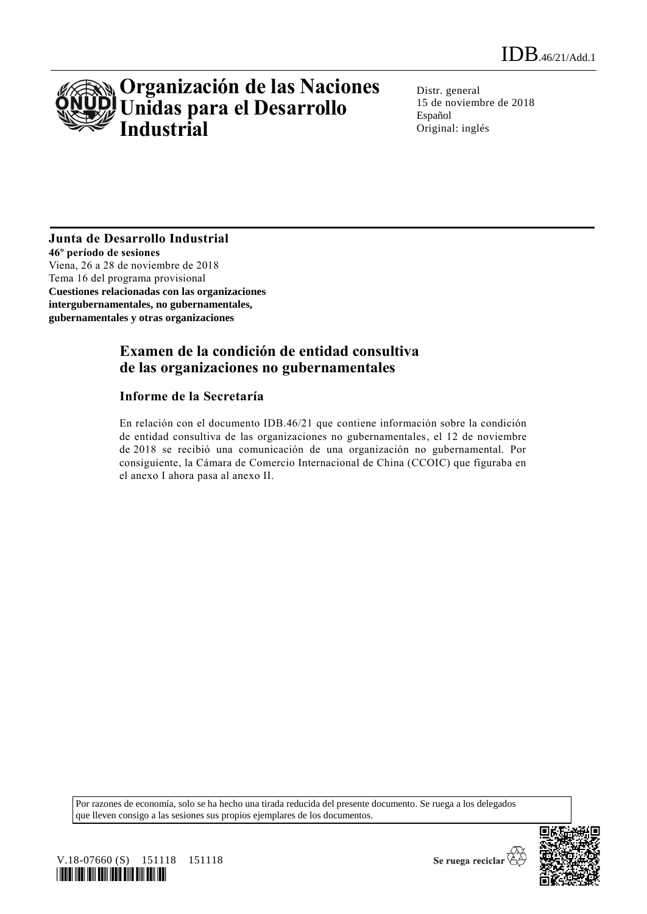

Distr. general 15 de noviembre de 2018 Español Original: inglés

## **Junta de Desarrollo Industrial**

**46º período de sesiones** Viena, 26 a 28 de noviembre de 2018 Tema 16 del programa provisional **Cuestiones relacionadas con las organizaciones intergubernamentales, no gubernamentales, gubernamentales y otras organizaciones** 

## **Examen de la condición de entidad consultiva de las organizaciones no gubernamentales**

#### **Informe de la Secretaría**

En relación con el documento IDB.46/21 que contiene información sobre la condición de entidad consultiva de las organizaciones no gubernamentales, el 12 de noviembre de 2018 se recibió una comunicación de una organización no gubernamental. Por consiguiente, la Cámara de Comercio Internacional de China (CCOIC) que figuraba en el anexo I ahora pasa al anexo II.

Por razones de economía, solo se ha hecho una tirada reducida del presente documento. Se ruega a los delegados que lleven consigo a las sesiones sus propios ejemplares de los documentos.





Se ruega reciclar  $\overleftrightarrow{G}$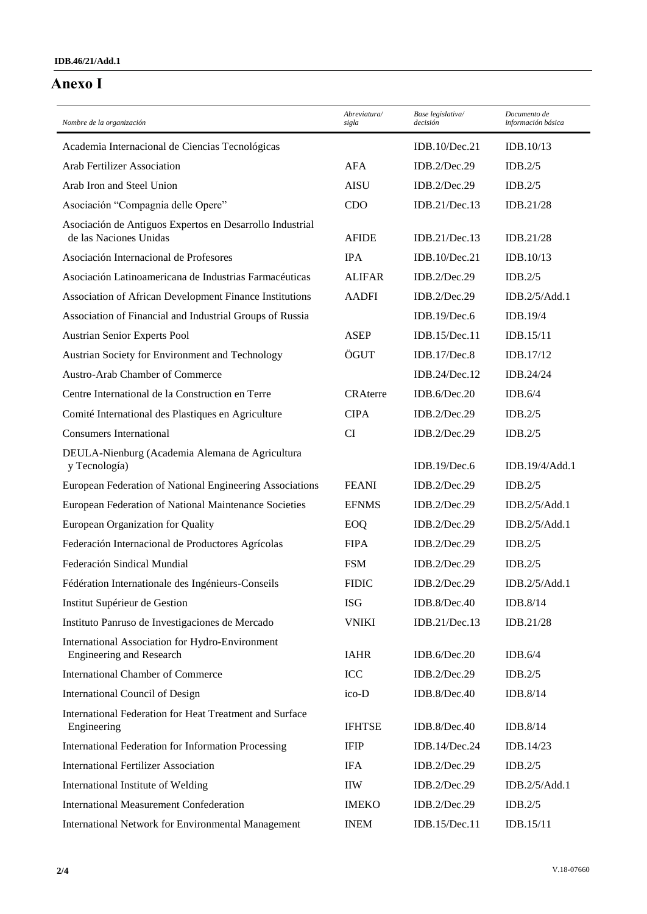## **Anexo I**

| Nombre de la organización                                                          | Abreviatura/<br>sigla | Base legislativa/<br>decisión | Documento de<br>información básica |
|------------------------------------------------------------------------------------|-----------------------|-------------------------------|------------------------------------|
| Academia Internacional de Ciencias Tecnológicas                                    |                       | IDB.10/Dec.21                 | IDB.10/13                          |
| <b>Arab Fertilizer Association</b>                                                 | AFA                   | IDB.2/Dec.29                  | IDB.2/5                            |
| Arab Iron and Steel Union                                                          | <b>AISU</b>           | IDB.2/Dec.29                  | IDB.2/5                            |
| Asociación "Compagnia delle Opere"                                                 | <b>CDO</b>            | IDB.21/Dec.13                 | IDB.21/28                          |
| Asociación de Antiguos Expertos en Desarrollo Industrial<br>de las Naciones Unidas | <b>AFIDE</b>          | IDB.21/Dec.13                 | IDB.21/28                          |
| Asociación Internacional de Profesores                                             | <b>IPA</b>            | IDB.10/Dec.21                 | IDB.10/13                          |
| Asociación Latinoamericana de Industrias Farmacéuticas                             | <b>ALIFAR</b>         | IDB.2/Dec.29                  | IDB.2/5                            |
| Association of African Development Finance Institutions                            | <b>AADFI</b>          | IDB.2/Dec.29                  | IDB.2/5/Add.1                      |
| Association of Financial and Industrial Groups of Russia                           |                       | IDB.19/Dec.6                  | IDB.19/4                           |
| <b>Austrian Senior Experts Pool</b>                                                | <b>ASEP</b>           | IDB.15/Dec.11                 | IDB.15/11                          |
| Austrian Society for Environment and Technology                                    | ÖGUT                  | IDB.17/Dec.8                  | IDB.17/12                          |
| Austro-Arab Chamber of Commerce                                                    |                       | IDB.24/Dec.12                 | IDB.24/24                          |
| Centre International de la Construction en Terre                                   | <b>CRAterre</b>       | IDB.6/Dec.20                  | IDB.6/4                            |
| Comité International des Plastiques en Agriculture                                 | <b>CIPA</b>           | IDB.2/Dec.29                  | IDB.2/5                            |
| <b>Consumers International</b>                                                     | CI                    | IDB.2/Dec.29                  | IDB.2/5                            |
| DEULA-Nienburg (Academia Alemana de Agricultura<br>y Tecnología)                   |                       | IDB.19/Dec.6                  | IDB.19/4/Add.1                     |
| European Federation of National Engineering Associations                           | <b>FEANI</b>          | IDB.2/Dec.29                  | IDB.2/5                            |
| European Federation of National Maintenance Societies                              | <b>EFNMS</b>          | IDB.2/Dec.29                  | IDB.2/5/Add.1                      |
| European Organization for Quality                                                  | EOQ                   | IDB.2/Dec.29                  | IDB.2/5/Add.1                      |
| Federación Internacional de Productores Agrícolas                                  | <b>FIPA</b>           | IDB.2/Dec.29                  | IDB.2/5                            |
| Federación Sindical Mundial                                                        | <b>FSM</b>            | IDB.2/Dec.29                  | IDB.2/5                            |
| Fédération Internationale des Ingénieurs-Conseils                                  | <b>FIDIC</b>          | IDB. $2/Dec.29$               | IDB.2/5/Add.1                      |
| Institut Supérieur de Gestion                                                      | <b>ISG</b>            | IDB.8/Dec.40                  | IDB.8/14                           |
| Instituto Panruso de Investigaciones de Mercado                                    | <b>VNIKI</b>          | IDB.21/Dec.13                 | IDB.21/28                          |
| International Association for Hydro-Environment<br><b>Engineering and Research</b> | <b>IAHR</b>           | IDB.6/Dec.20                  | IDB.6/4                            |
| <b>International Chamber of Commerce</b>                                           | ICC                   | IDB.2/Dec.29                  | IDB.2/5                            |
| International Council of Design                                                    | ico-D                 | IDB.8/Dec.40                  | IDB.8/14                           |
| International Federation for Heat Treatment and Surface<br>Engineering             | <b>IFHTSE</b>         | IDB.8/Dec.40                  | IDB.8/14                           |
| International Federation for Information Processing                                | <b>IFIP</b>           | IDB.14/Dec.24                 | IDB.14/23                          |
| <b>International Fertilizer Association</b>                                        | <b>IFA</b>            | IDB.2/Dec.29                  | IDB.2/5                            |
| International Institute of Welding                                                 | <b>IIW</b>            | IDB.2/Dec.29                  | IDB.2/5/Add.1                      |
| <b>International Measurement Confederation</b>                                     | <b>IMEKO</b>          | IDB.2/Dec.29                  | IDB.2/5                            |
| <b>International Network for Environmental Management</b>                          | <b>INEM</b>           | IDB.15/Dec.11                 | IDB.15/11                          |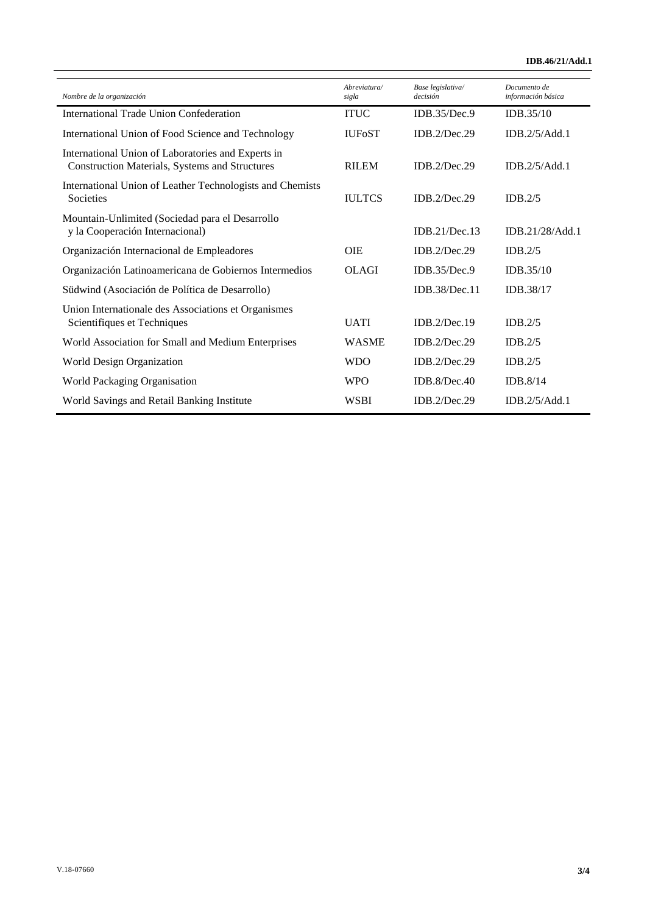| Nombre de la organización                                                                            | Abreviatura/  | Base legislativa/<br>decisión | Documento de<br>información básica |
|------------------------------------------------------------------------------------------------------|---------------|-------------------------------|------------------------------------|
|                                                                                                      | sigla         |                               |                                    |
| International Trade Union Confederation                                                              | <b>ITUC</b>   | IDB.35/Dec.9                  | IDB.35/10                          |
| International Union of Food Science and Technology                                                   | <b>IUFoST</b> | IDB.2/Dec.29                  | IDB.2/5/Add.1                      |
| International Union of Laboratories and Experts in<br>Construction Materials, Systems and Structures | <b>RILEM</b>  | IDB.2/Dec.29                  | IDB.2/5/Add.1                      |
| International Union of Leather Technologists and Chemists<br>Societies                               | <b>IULTCS</b> | IDB.2/Dec.29                  | IDB.2/5                            |
| Mountain-Unlimited (Sociedad para el Desarrollo<br>y la Cooperación Internacional)                   |               | IDB.21/Dec.13                 | IDB.21/28/Add.1                    |
| Organización Internacional de Empleadores                                                            | <b>OIE</b>    | IDB.2/Dec.29                  | IDB.2/5                            |
| Organización Latinoamericana de Gobiernos Intermedios                                                | <b>OLAGI</b>  | IDB.35/Dec.9                  | IDB.35/10                          |
| Südwind (Asociación de Política de Desarrollo)                                                       |               | IDB.38/Dec.11                 | IDB.38/17                          |
| Union Internationale des Associations et Organismes<br>Scientifiques et Techniques                   | <b>UATI</b>   | IDB.2/Dec.19                  | IDB.2/5                            |
| World Association for Small and Medium Enterprises                                                   | <b>WASME</b>  | IDB.2/Dec.29                  | IDB.2/5                            |
| World Design Organization                                                                            | <b>WDO</b>    | IDB.2/Dec.29                  | IDB.2/5                            |
| World Packaging Organisation                                                                         | <b>WPO</b>    | IDB.8/Dec.40                  | IDB.8/14                           |
| World Savings and Retail Banking Institute                                                           | <b>WSBI</b>   | IDB.2/Dec.29                  | IDB.2/5/Add.1                      |